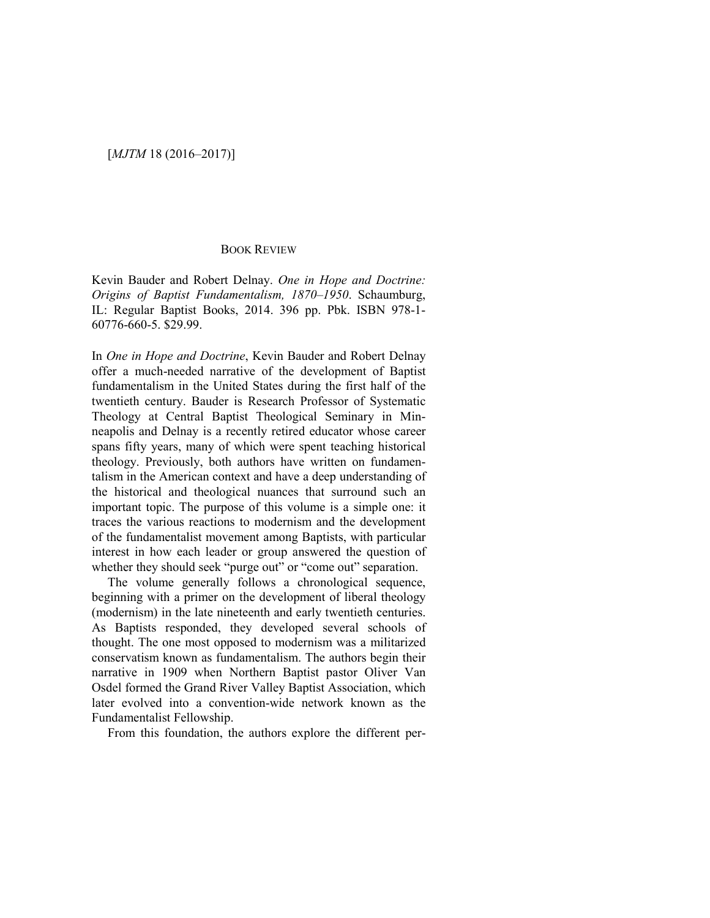## BOOK REVIEW

Kevin Bauder and Robert Delnay. *One in Hope and Doctrine: Origins of Baptist Fundamentalism, 1870–1950*. Schaumburg, IL: Regular Baptist Books, 2014. 396 pp. Pbk. ISBN 978-1- 60776-660-5. \$29.99.

In *One in Hope and Doctrine*, Kevin Bauder and Robert Delnay offer a much-needed narrative of the development of Baptist fundamentalism in the United States during the first half of the twentieth century. Bauder is Research Professor of Systematic Theology at Central Baptist Theological Seminary in Minneapolis and Delnay is a recently retired educator whose career spans fifty years, many of which were spent teaching historical theology. Previously, both authors have written on fundamentalism in the American context and have a deep understanding of the historical and theological nuances that surround such an important topic. The purpose of this volume is a simple one: it traces the various reactions to modernism and the development of the fundamentalist movement among Baptists, with particular interest in how each leader or group answered the question of whether they should seek "purge out" or "come out" separation.

The volume generally follows a chronological sequence, beginning with a primer on the development of liberal theology (modernism) in the late nineteenth and early twentieth centuries. As Baptists responded, they developed several schools of thought. The one most opposed to modernism was a militarized conservatism known as fundamentalism. The authors begin their narrative in 1909 when Northern Baptist pastor Oliver Van Osdel formed the Grand River Valley Baptist Association, which later evolved into a convention-wide network known as the Fundamentalist Fellowship.

From this foundation, the authors explore the different per-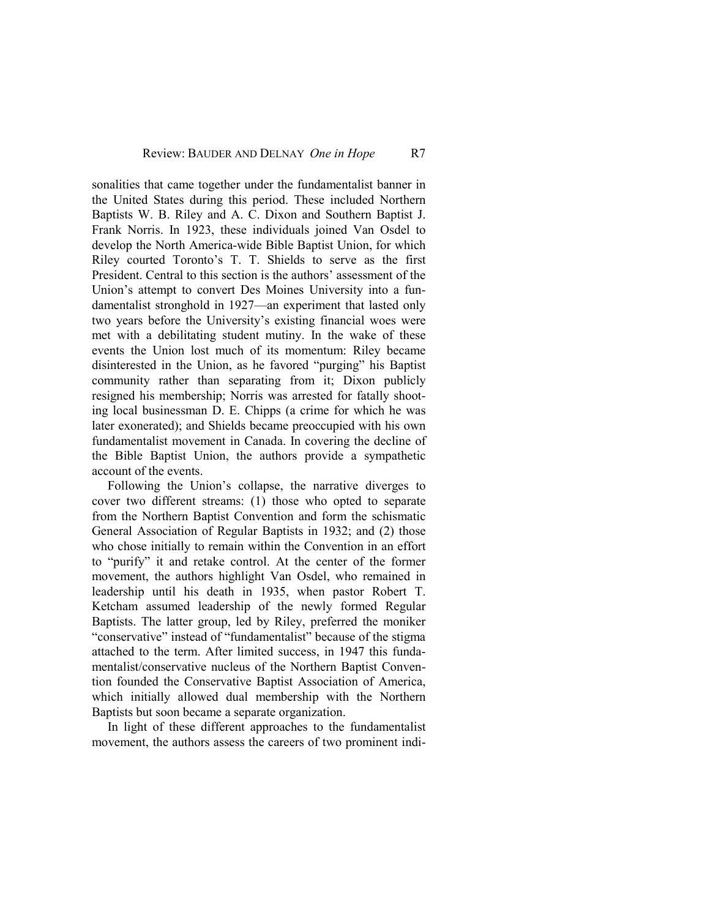sonalities that came together under the fundamentalist banner in the United States during this period. These included Northern Baptists W. B. Riley and A. C. Dixon and Southern Baptist J. Frank Norris. In 1923, these individuals joined Van Osdel to develop the North America-wide Bible Baptist Union, for which Riley courted Toronto's T. T. Shields to serve as the first President. Central to this section is the authors' assessment of the Union's attempt to convert Des Moines University into a fundamentalist stronghold in 1927—an experiment that lasted only two years before the University's existing financial woes were met with a debilitating student mutiny. In the wake of these events the Union lost much of its momentum: Riley became disinterested in the Union, as he favored "purging" his Baptist community rather than separating from it; Dixon publicly resigned his membership; Norris was arrested for fatally shooting local businessman D. E. Chipps (a crime for which he was later exonerated); and Shields became preoccupied with his own fundamentalist movement in Canada. In covering the decline of the Bible Baptist Union, the authors provide a sympathetic account of the events.

Following the Union's collapse, the narrative diverges to cover two different streams: (1) those who opted to separate from the Northern Baptist Convention and form the schismatic General Association of Regular Baptists in 1932; and (2) those who chose initially to remain within the Convention in an effort to "purify" it and retake control. At the center of the former movement, the authors highlight Van Osdel, who remained in leadership until his death in 1935, when pastor Robert T. Ketcham assumed leadership of the newly formed Regular Baptists. The latter group, led by Riley, preferred the moniker "conservative" instead of "fundamentalist" because of the stigma attached to the term. After limited success, in 1947 this fundamentalist/conservative nucleus of the Northern Baptist Convention founded the Conservative Baptist Association of America, which initially allowed dual membership with the Northern Baptists but soon became a separate organization.

In light of these different approaches to the fundamentalist movement, the authors assess the careers of two prominent indi-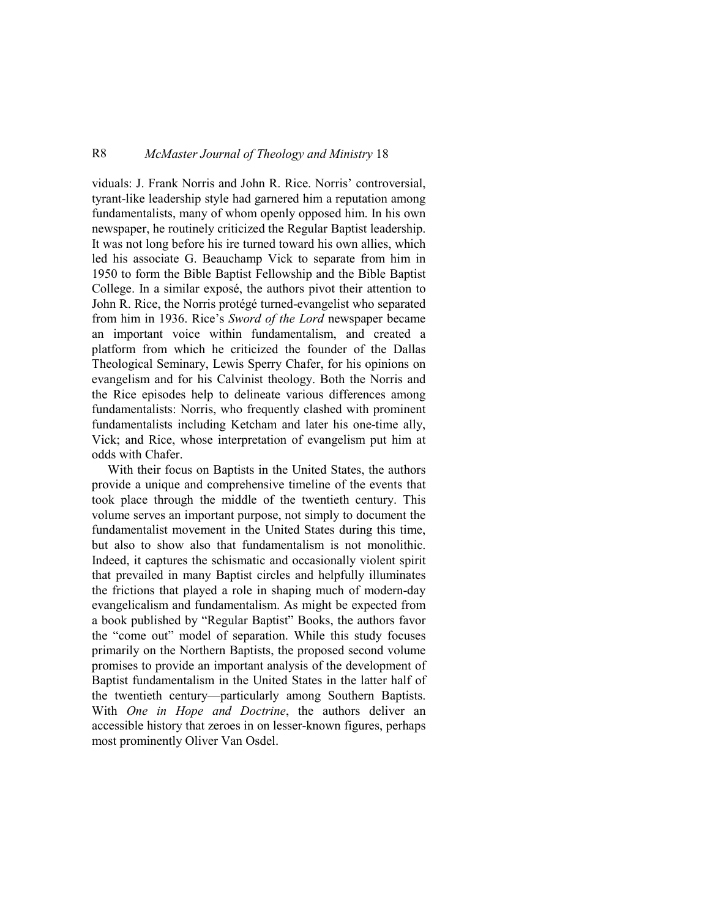## R8 *McMaster Journal of Theology and Ministry* 18

viduals: J. Frank Norris and John R. Rice. Norris' controversial, tyrant-like leadership style had garnered him a reputation among fundamentalists, many of whom openly opposed him. In his own newspaper, he routinely criticized the Regular Baptist leadership. It was not long before his ire turned toward his own allies, which led his associate G. Beauchamp Vick to separate from him in 1950 to form the Bible Baptist Fellowship and the Bible Baptist College. In a similar exposé, the authors pivot their attention to John R. Rice, the Norris protégé turned-evangelist who separated from him in 1936. Rice's *Sword of the Lord* newspaper became an important voice within fundamentalism, and created a platform from which he criticized the founder of the Dallas Theological Seminary, Lewis Sperry Chafer, for his opinions on evangelism and for his Calvinist theology. Both the Norris and the Rice episodes help to delineate various differences among fundamentalists: Norris, who frequently clashed with prominent fundamentalists including Ketcham and later his one-time ally, Vick; and Rice, whose interpretation of evangelism put him at odds with Chafer.

With their focus on Baptists in the United States, the authors provide a unique and comprehensive timeline of the events that took place through the middle of the twentieth century. This volume serves an important purpose, not simply to document the fundamentalist movement in the United States during this time, but also to show also that fundamentalism is not monolithic. Indeed, it captures the schismatic and occasionally violent spirit that prevailed in many Baptist circles and helpfully illuminates the frictions that played a role in shaping much of modern-day evangelicalism and fundamentalism. As might be expected from a book published by "Regular Baptist" Books, the authors favor the "come out" model of separation. While this study focuses primarily on the Northern Baptists, the proposed second volume promises to provide an important analysis of the development of Baptist fundamentalism in the United States in the latter half of the twentieth century—particularly among Southern Baptists. With *One in Hope and Doctrine*, the authors deliver an accessible history that zeroes in on lesser-known figures, perhaps most prominently Oliver Van Osdel.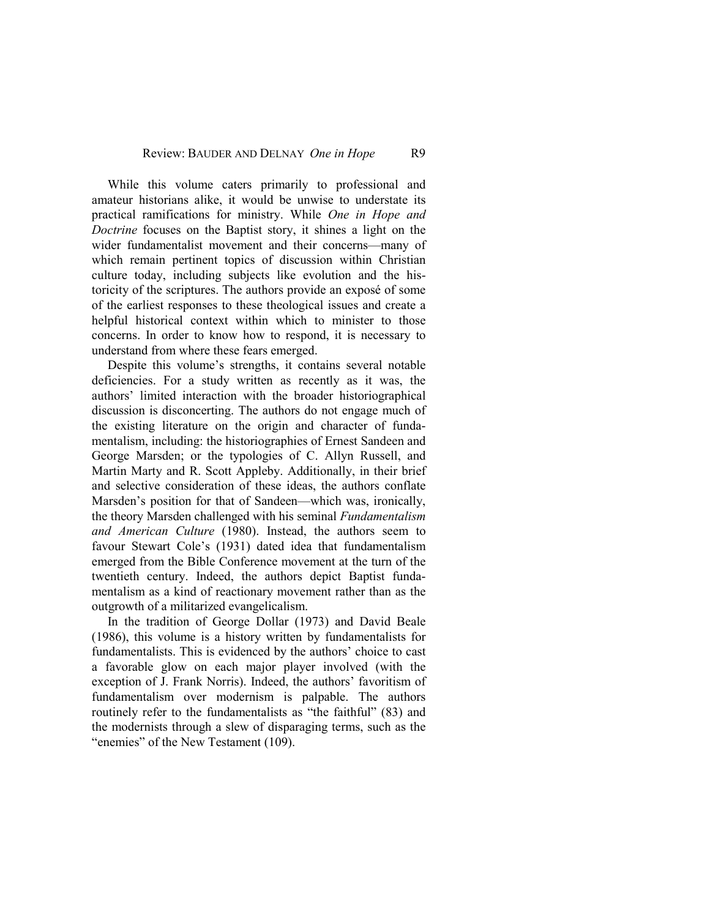While this volume caters primarily to professional and amateur historians alike, it would be unwise to understate its practical ramifications for ministry. While *One in Hope and Doctrine* focuses on the Baptist story, it shines a light on the wider fundamentalist movement and their concerns—many of which remain pertinent topics of discussion within Christian culture today, including subjects like evolution and the historicity of the scriptures. The authors provide an exposé of some of the earliest responses to these theological issues and create a helpful historical context within which to minister to those concerns. In order to know how to respond, it is necessary to understand from where these fears emerged.

Despite this volume's strengths, it contains several notable deficiencies. For a study written as recently as it was, the authors' limited interaction with the broader historiographical discussion is disconcerting. The authors do not engage much of the existing literature on the origin and character of fundamentalism, including: the historiographies of Ernest Sandeen and George Marsden; or the typologies of C. Allyn Russell, and Martin Marty and R. Scott Appleby. Additionally, in their brief and selective consideration of these ideas, the authors conflate Marsden's position for that of Sandeen—which was, ironically, the theory Marsden challenged with his seminal *Fundamentalism and American Culture* (1980). Instead, the authors seem to favour Stewart Cole's (1931) dated idea that fundamentalism emerged from the Bible Conference movement at the turn of the twentieth century. Indeed, the authors depict Baptist fundamentalism as a kind of reactionary movement rather than as the outgrowth of a militarized evangelicalism.

In the tradition of George Dollar (1973) and David Beale (1986), this volume is a history written by fundamentalists for fundamentalists. This is evidenced by the authors' choice to cast a favorable glow on each major player involved (with the exception of J. Frank Norris). Indeed, the authors' favoritism of fundamentalism over modernism is palpable. The authors routinely refer to the fundamentalists as "the faithful" (83) and the modernists through a slew of disparaging terms, such as the "enemies" of the New Testament (109).